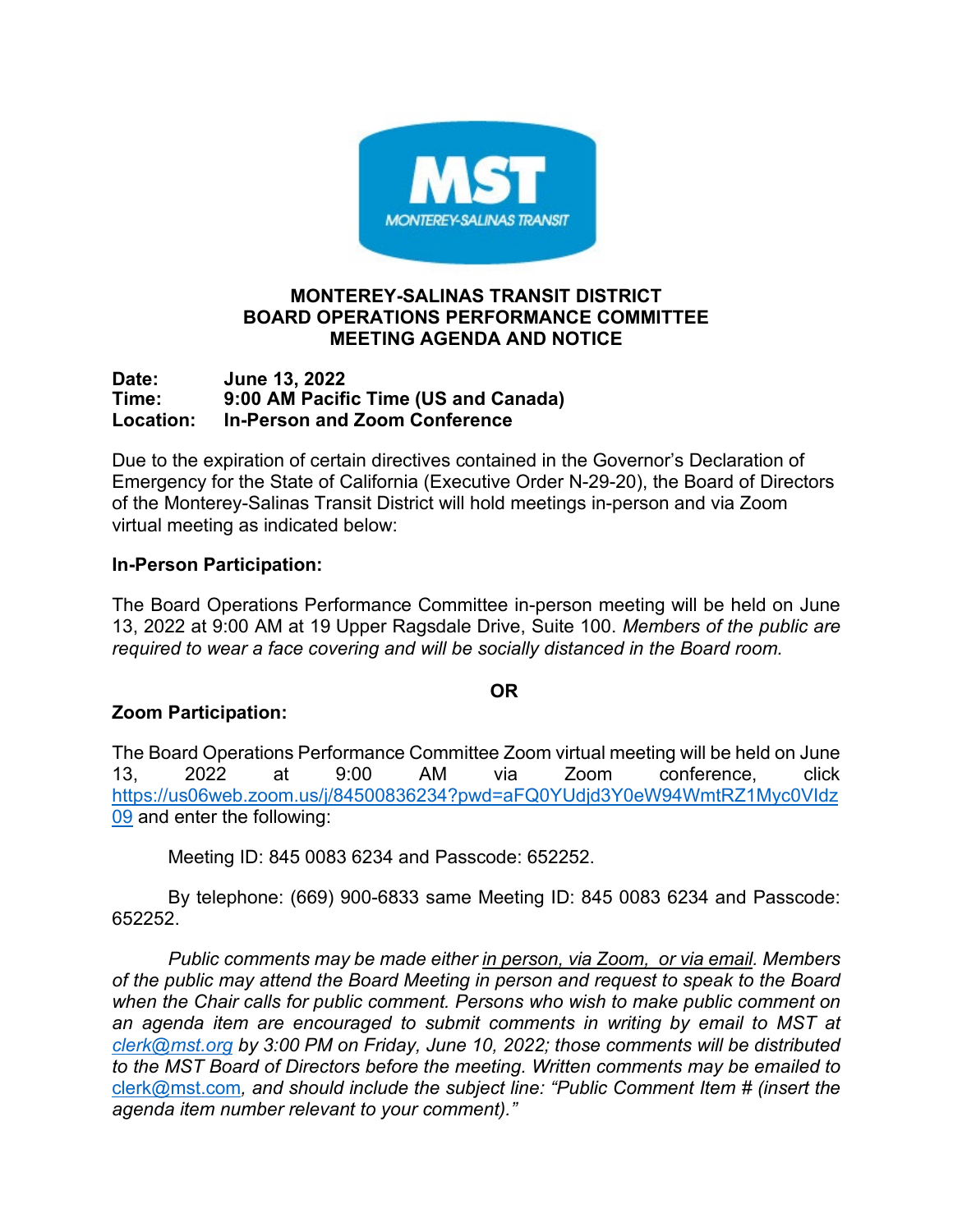

### **MONTEREY-SALINAS TRANSIT DISTRICT BOARD OPERATIONS PERFORMANCE COMMITTEE MEETING AGENDA AND NOTICE**

#### **Date: June 13, 2022 Time: 9:00 AM Pacific Time (US and Canada) Location: In-Person and Zoom Conference**

Due to the expiration of certain directives contained in the Governor's Declaration of Emergency for the State of California (Executive Order N-29-20), the Board of Directors of the Monterey-Salinas Transit District will hold meetings in-person and via Zoom virtual meeting as indicated below:

# **In-Person Participation:**

The Board Operations Performance Committee in-person meeting will be held on June 13, 2022 at 9:00 AM at 19 Upper Ragsdale Drive, Suite 100. *Members of the public are required to wear a face covering and will be socially distanced in the Board room.*

### **OR**

# **Zoom Participation:**

The Board Operations Performance Committee Zoom virtual meeting will be held on June 13, 2022 at 9:00 AM via Zoom conference, click [https://us06web.zoom.us/j/84500836234?pwd=aFQ0YUdjd3Y0eW94WmtRZ1Myc0VIdz](https://us06web.zoom.us/j/84500836234?pwd=aFQ0YUdjd3Y0eW94WmtRZ1Myc0VIdz09) [09](https://us06web.zoom.us/j/84500836234?pwd=aFQ0YUdjd3Y0eW94WmtRZ1Myc0VIdz09) and enter the following:

Meeting ID: 845 0083 6234 and Passcode: 652252.

By telephone: (669) 900-6833 same Meeting ID: 845 0083 6234 and Passcode: 652252.

*Public comments may be made either in person, via Zoom, or via email. Members of the public may attend the Board Meeting in person and request to speak to the Board when the Chair calls for public comment. Persons who wish to make public comment on an agenda item are encouraged to submit comments in writing by email to MST at [clerk@mst.org](mailto:clerk@mst.org) by 3:00 PM on Friday, June 10, 2022; those comments will be distributed to the MST Board of Directors before the meeting. Written comments may be emailed to* [clerk@mst.com](mailto:clerk@mst.com)*, and should include the subject line: "Public Comment Item # (insert the agenda item number relevant to your comment)."*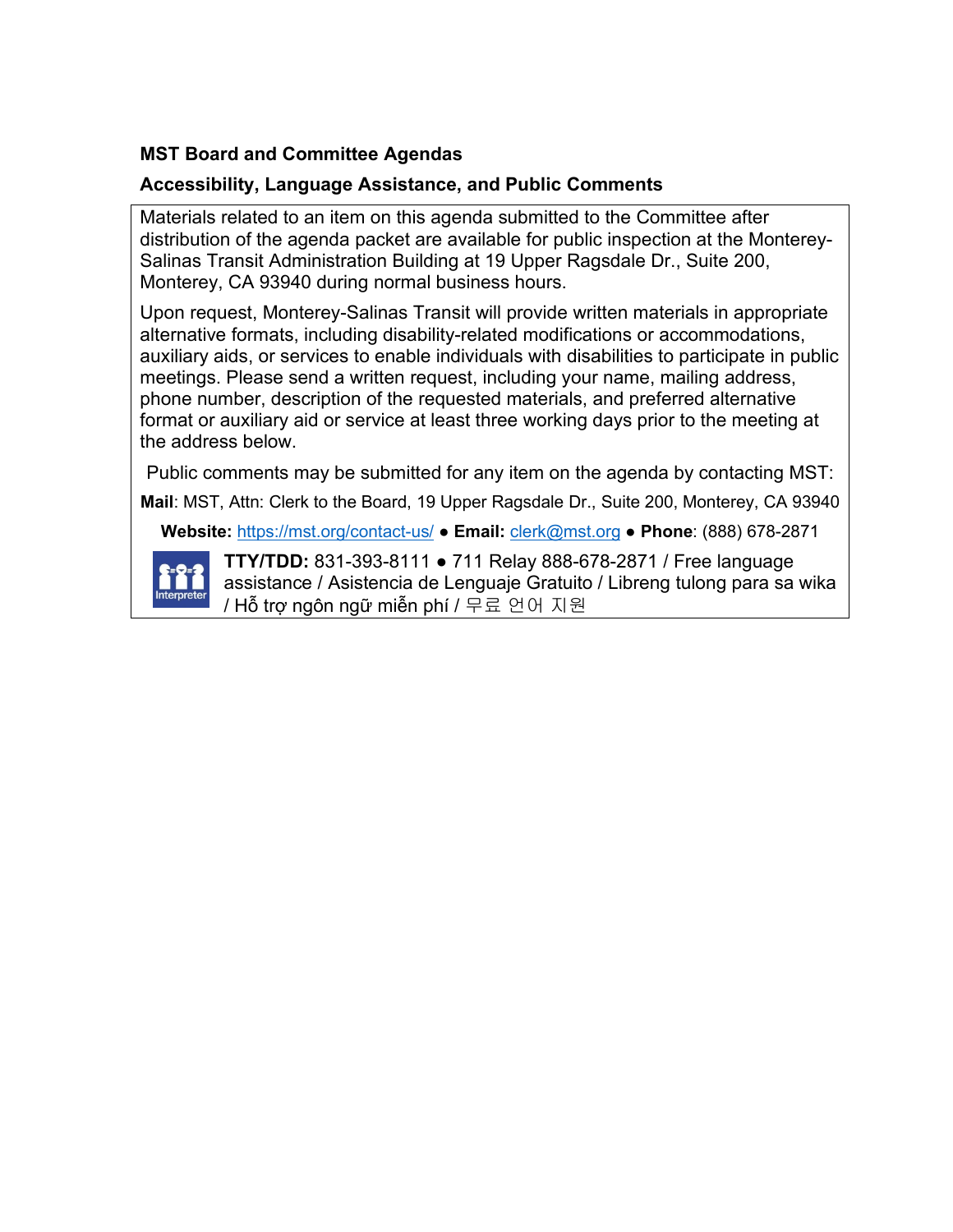# **MST Board and Committee Agendas**

# **Accessibility, Language Assistance, and Public Comments**

Materials related to an item on this agenda submitted to the Committee after distribution of the agenda packet are available for public inspection at the Monterey-Salinas Transit Administration Building at 19 Upper Ragsdale Dr., Suite 200, Monterey, CA 93940 during normal business hours.

Upon request, Monterey-Salinas Transit will provide written materials in appropriate alternative formats, including disability-related modifications or accommodations, auxiliary aids, or services to enable individuals with disabilities to participate in public meetings. Please send a written request, including your name, mailing address, phone number, description of the requested materials, and preferred alternative format or auxiliary aid or service at least three working days prior to the meeting at the address below.

Public comments may be submitted for any item on the agenda by contacting MST:

**Mail**: MST, Attn: Clerk to the Board, 19 Upper Ragsdale Dr., Suite 200, Monterey, CA 93940

**Website:** <https://mst.org/contact-us/> ● **Email:** [clerk@mst.org](mailto:clerk@mst.org) ● **Phone**: (888) 678-2871



**TTY/TDD:** 831-393-8111 ● 711 Relay 888-678-2871 / Free language assistance / Asistencia de Lenguaje Gratuito / Libreng tulong para sa wika / Hỗ trợ ngôn ngữ miễn phí / 무료 언어 지원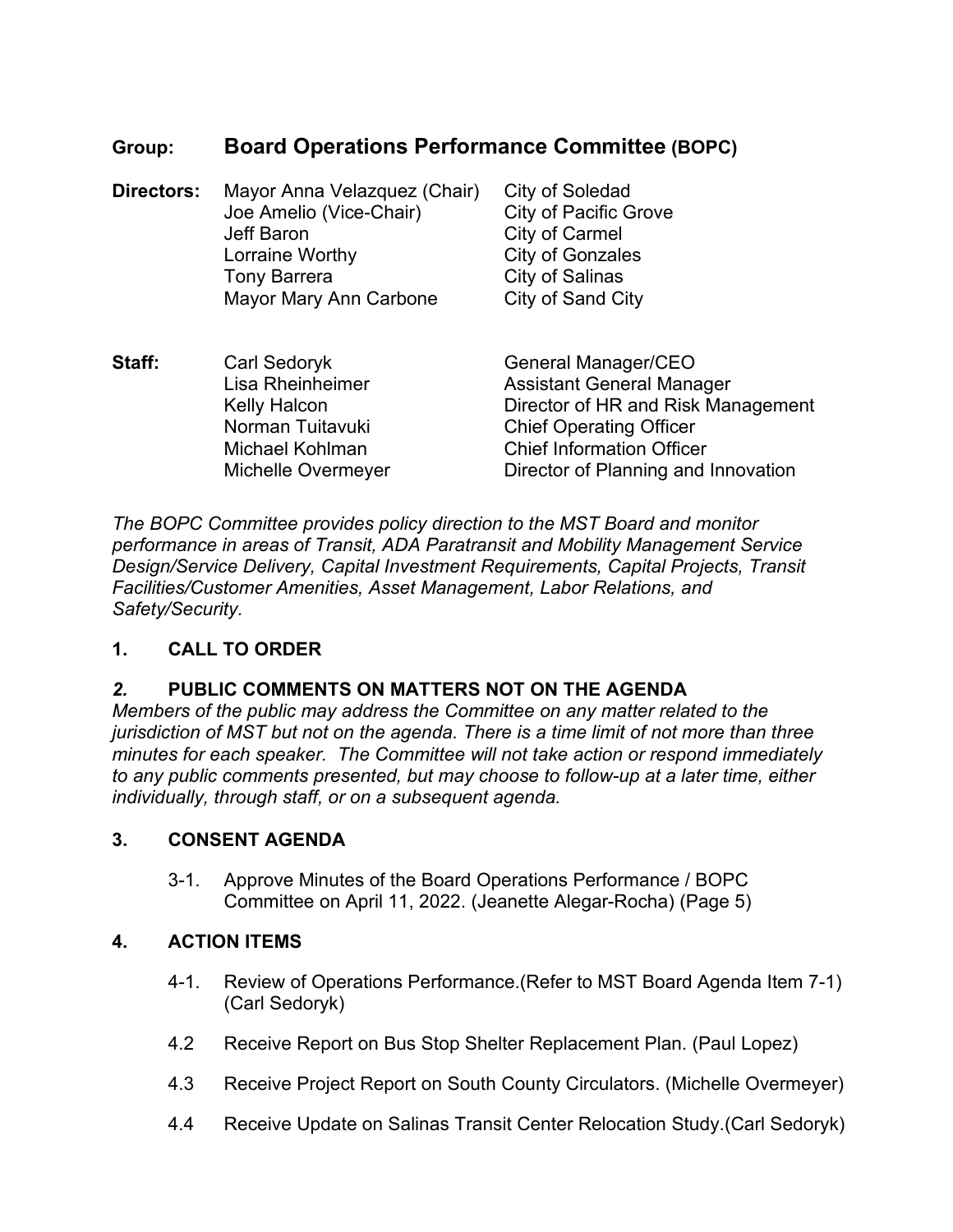# **Group: Board Operations Performance Committee (BOPC)**

| Directors: | Mayor Anna Velazquez (Chair)<br>Joe Amelio (Vice-Chair)<br><b>Jeff Baron</b><br>Lorraine Worthy<br><b>Tony Barrera</b><br>Mayor Mary Ann Carbone | City of Soledad<br><b>City of Pacific Grove</b><br>City of Carmel<br><b>City of Gonzales</b><br><b>City of Salinas</b><br>City of Sand City                                                                |
|------------|--------------------------------------------------------------------------------------------------------------------------------------------------|------------------------------------------------------------------------------------------------------------------------------------------------------------------------------------------------------------|
| Staff:     | Carl Sedoryk<br>Lisa Rheinheimer<br><b>Kelly Halcon</b><br>Norman Tuitavuki<br>Michael Kohlman<br>Michelle Overmeyer                             | General Manager/CEO<br><b>Assistant General Manager</b><br>Director of HR and Risk Management<br><b>Chief Operating Officer</b><br><b>Chief Information Officer</b><br>Director of Planning and Innovation |

*The BOPC Committee provides policy direction to the MST Board and monitor performance in areas of Transit, ADA Paratransit and Mobility Management Service Design/Service Delivery, Capital Investment Requirements, Capital Projects, Transit Facilities/Customer Amenities, Asset Management, Labor Relations, and Safety/Security.*

# **1. CALL TO ORDER**

# *2.* **PUBLIC COMMENTS ON MATTERS NOT ON THE AGENDA**

*Members of the public may address the Committee on any matter related to the jurisdiction of MST but not on the agenda. There is a time limit of not more than three minutes for each speaker. The Committee will not take action or respond immediately to any public comments presented, but may choose to follow-up at a later time, either individually, through staff, or on a subsequent agenda.*

### **3. CONSENT AGENDA**

3-1. [Approve Minutes of the Board Operations Performance / BOPC](#page-4-0)  Committee on April 11, 2022. (Jeanette Alegar-Rocha) (Page 5)

### **4. ACTION ITEMS**

- 4-1. Review of Operations Performance.(Refer to MST Board Agenda Item 7-1) (Carl Sedoryk)
- 4.2 Receive Report on Bus Stop Shelter Replacement Plan. (Paul Lopez)
- 4.3 Receive Project Report on South County Circulators. (Michelle Overmeyer)
- 4.4 Receive Update on Salinas Transit Center Relocation Study.(Carl Sedoryk)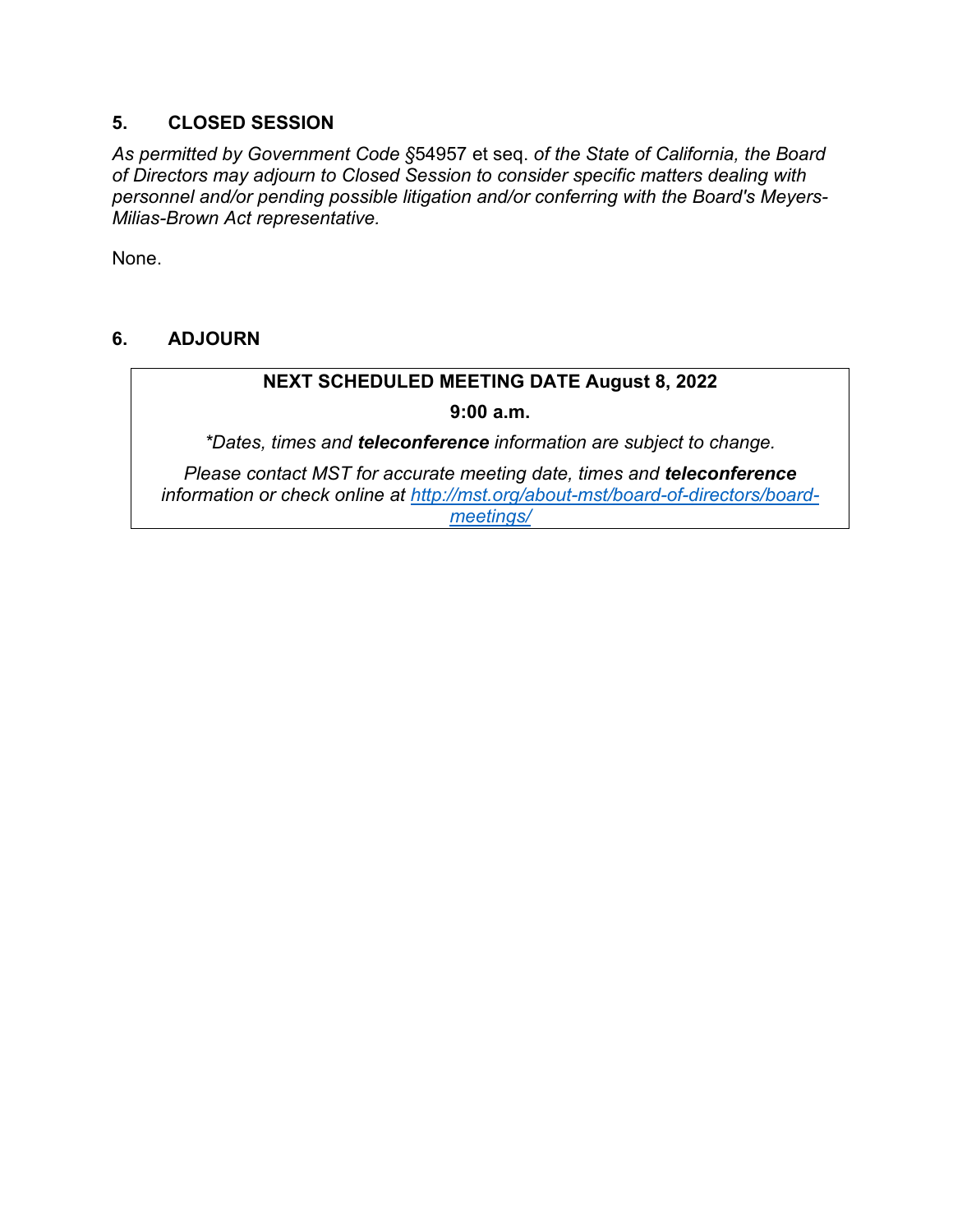### **5. CLOSED SESSION**

*As permitted by Government Code §*54957 et seq. *of the State of California, the Board of Directors may adjourn to Closed Session to consider specific matters dealing with personnel and/or pending possible litigation and/or conferring with the Board's Meyers-Milias-Brown Act representative.*

None.

### **6. ADJOURN**

# **NEXT SCHEDULED MEETING DATE August 8, 2022**

#### **9:00 a.m.**

*\*Dates, times and teleconference information are subject to change.* 

*Please contact MST for accurate meeting date, times and teleconference information or check online at [http://mst.org/about-mst/board-of-directors/board](http://mst.org/about-mst/board-of-directors/board-meetings/)[meetings/](http://mst.org/about-mst/board-of-directors/board-meetings/)*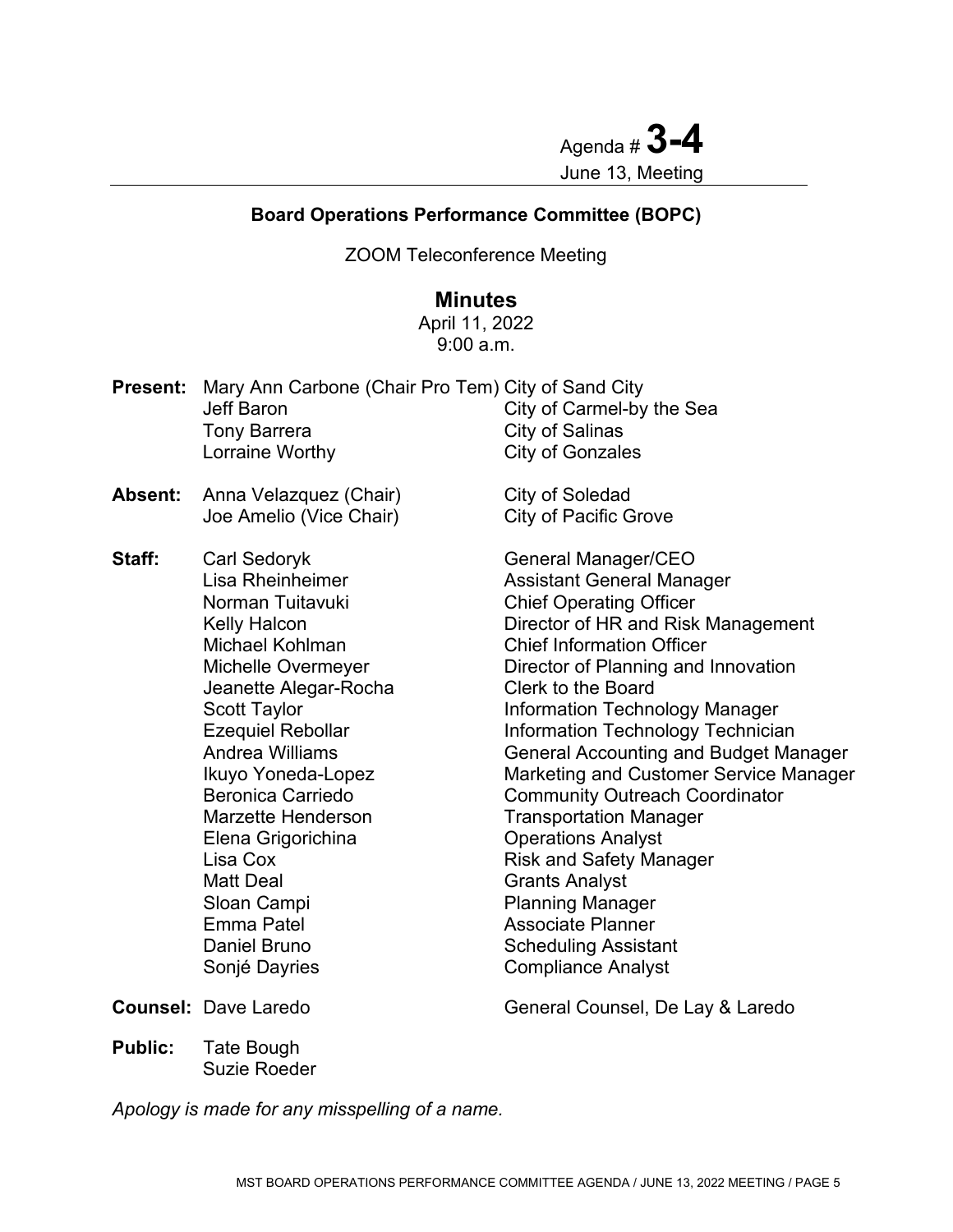Agenda # **3-4** June 13, Meeting

#### <span id="page-4-0"></span>**Board Operations Performance Committee (BOPC)**

ZOOM Teleconference Meeting

# **Minutes**

April 11, 2022 9:00 a.m.

| Present: | Mary Ann Carbone (Chair Pro Tem) City of Sand City<br><b>Jeff Baron</b><br><b>Tony Barrera</b><br>Lorraine Worthy                                                                                                                                                                                                                                                                                            | City of Carmel-by the Sea<br>City of Salinas<br><b>City of Gonzales</b>                                                                                                                                                                                                                                                                                                                                                                                                                                                                                                                                                                                                        |
|----------|--------------------------------------------------------------------------------------------------------------------------------------------------------------------------------------------------------------------------------------------------------------------------------------------------------------------------------------------------------------------------------------------------------------|--------------------------------------------------------------------------------------------------------------------------------------------------------------------------------------------------------------------------------------------------------------------------------------------------------------------------------------------------------------------------------------------------------------------------------------------------------------------------------------------------------------------------------------------------------------------------------------------------------------------------------------------------------------------------------|
| Absent:  | Anna Velazquez (Chair)<br>Joe Amelio (Vice Chair)                                                                                                                                                                                                                                                                                                                                                            | City of Soledad<br><b>City of Pacific Grove</b>                                                                                                                                                                                                                                                                                                                                                                                                                                                                                                                                                                                                                                |
| Staff:   | Carl Sedoryk<br><b>Lisa Rheinheimer</b><br>Norman Tuitavuki<br><b>Kelly Halcon</b><br>Michael Kohlman<br>Michelle Overmeyer<br>Jeanette Alegar-Rocha<br><b>Scott Taylor</b><br><b>Ezequiel Rebollar</b><br>Andrea Williams<br>Ikuyo Yoneda-Lopez<br>Beronica Carriedo<br><b>Marzette Henderson</b><br>Elena Grigorichina<br>Lisa Cox<br><b>Matt Deal</b><br>Sloan Campi<br><b>Emma Patel</b><br>Daniel Bruno | General Manager/CEO<br><b>Assistant General Manager</b><br><b>Chief Operating Officer</b><br>Director of HR and Risk Management<br><b>Chief Information Officer</b><br>Director of Planning and Innovation<br>Clerk to the Board<br><b>Information Technology Manager</b><br><b>Information Technology Technician</b><br><b>General Accounting and Budget Manager</b><br><b>Marketing and Customer Service Manager</b><br><b>Community Outreach Coordinator</b><br><b>Transportation Manager</b><br><b>Operations Analyst</b><br><b>Risk and Safety Manager</b><br><b>Grants Analyst</b><br><b>Planning Manager</b><br><b>Associate Planner</b><br><b>Scheduling Assistant</b> |

Sonjé Dayries **Compliance Analyst** 

**Counsel:** Dave Laredo General Counsel, De Lay & Laredo

**Public:** Tate Bough Suzie Roeder

*Apology is made for any misspelling of a name.*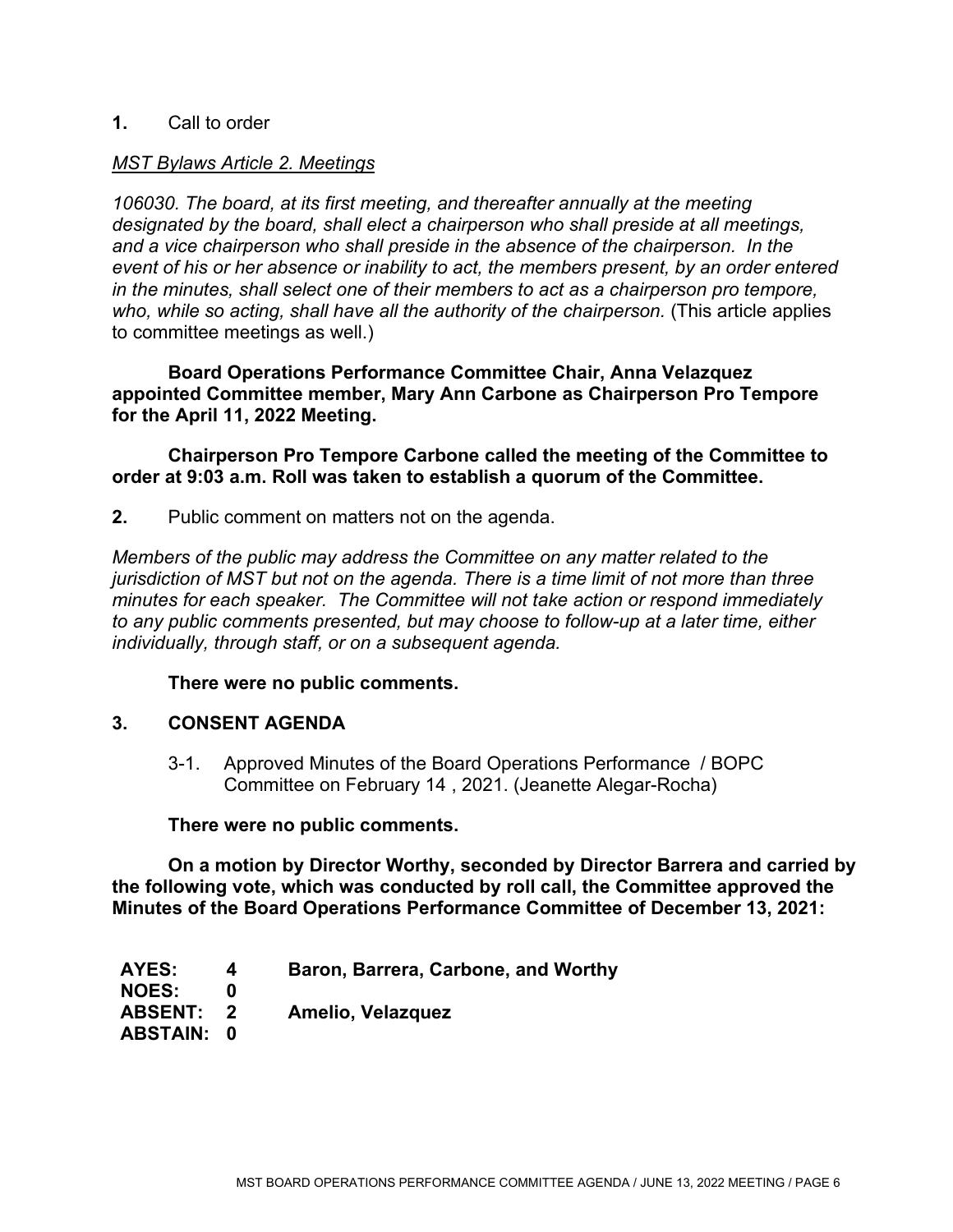#### **1.** Call to order

#### *MST Bylaws Article 2. Meetings*

*106030. The board, at its first meeting, and thereafter annually at the meeting designated by the board, shall elect a chairperson who shall preside at all meetings, and a vice chairperson who shall preside in the absence of the chairperson. In the event of his or her absence or inability to act, the members present, by an order entered in the minutes, shall select one of their members to act as a chairperson pro tempore, who, while so acting, shall have all the authority of the chairperson.* (This article applies to committee meetings as well.)

**Board Operations Performance Committee Chair, Anna Velazquez appointed Committee member, Mary Ann Carbone as Chairperson Pro Tempore for the April 11, 2022 Meeting.**

#### **Chairperson Pro Tempore Carbone called the meeting of the Committee to order at 9:03 a.m. Roll was taken to establish a quorum of the Committee.**

**2.** Public comment on matters not on the agenda.

*Members of the public may address the Committee on any matter related to the jurisdiction of MST but not on the agenda. There is a time limit of not more than three minutes for each speaker. The Committee will not take action or respond immediately to any public comments presented, but may choose to follow-up at a later time, either individually, through staff, or on a subsequent agenda.* 

#### **There were no public comments.**

#### **3. CONSENT AGENDA**

3-1. Approved Minutes of the Board Operations Performance / BOPC Committee on February 14 , 2021. (Jeanette Alegar-Rocha)

**There were no public comments.**

**On a motion by Director Worthy, seconded by Director Barrera and carried by the following vote, which was conducted by roll call, the Committee approved the Minutes of the Board Operations Performance Committee of December 13, 2021:**

| AYES:             | Baron, Barrera, Carbone, and Worthy |
|-------------------|-------------------------------------|
| <b>NOES:</b>      |                                     |
| ABSENT: 2         | Amelio, Velazquez                   |
| <b>ABSTAIN: 0</b> |                                     |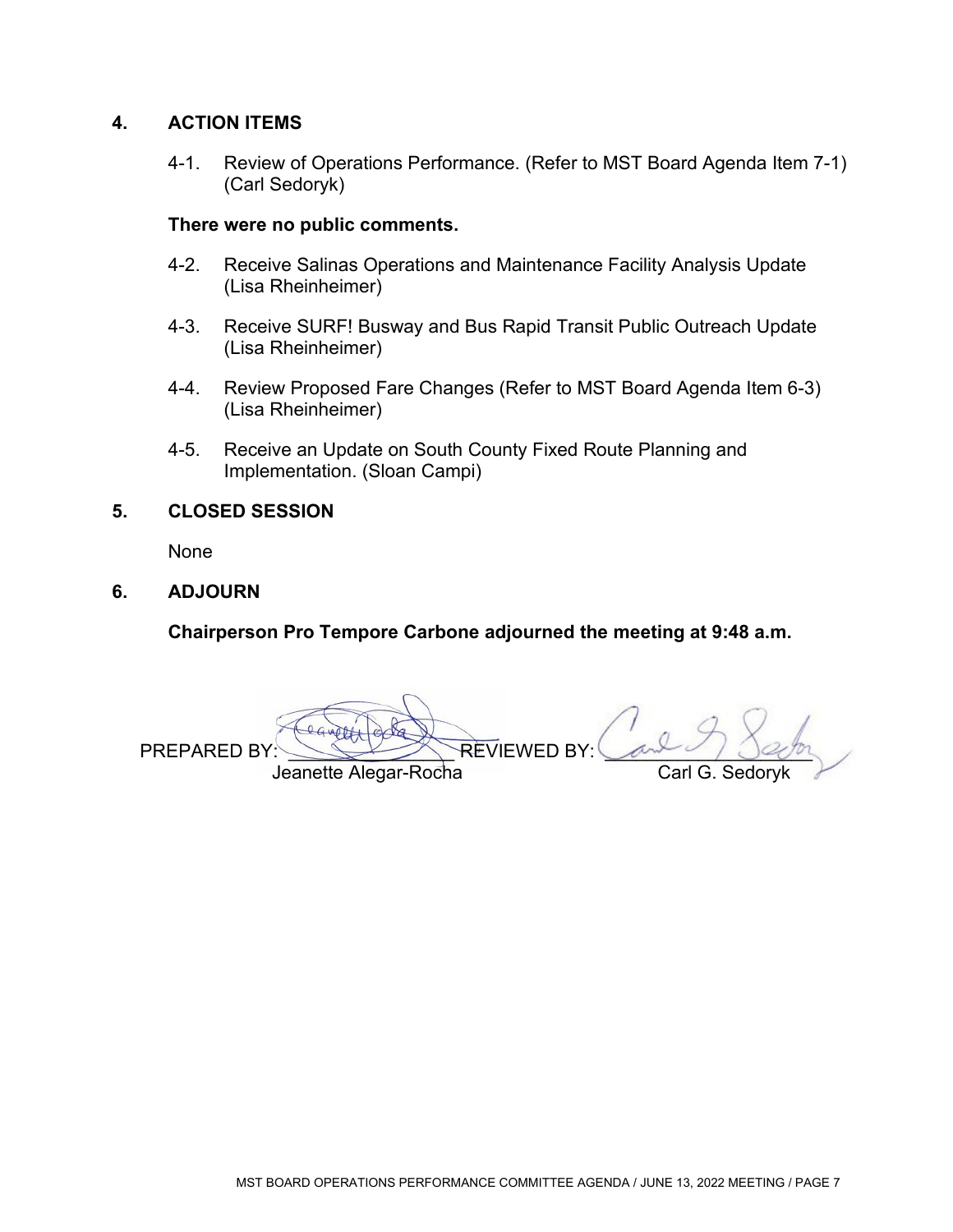### **4. ACTION ITEMS**

 4-1. Review of Operations Performance. (Refer to MST Board Agenda Item 7-1) (Carl Sedoryk)

#### **There were no public comments.**

- 4-2. Receive Salinas Operations and Maintenance Facility Analysis Update (Lisa Rheinheimer)
- 4-3. Receive SURF! Busway and Bus Rapid Transit Public Outreach Update (Lisa Rheinheimer)
- 4-4. Review Proposed Fare Changes (Refer to MST Board Agenda Item 6-3) (Lisa Rheinheimer)
- 4-5. Receive an Update on South County Fixed Route Planning and Implementation. (Sloan Campi)

#### **5. CLOSED SESSION**

None

#### **6. ADJOURN**

**Chairperson Pro Tempore Carbone adjourned the meeting at 9:48 a.m.** 

PREPARED BY: Computed by REVIEWED BY: Cand Jeanette Alegar-Rocha Carl G. Sedo